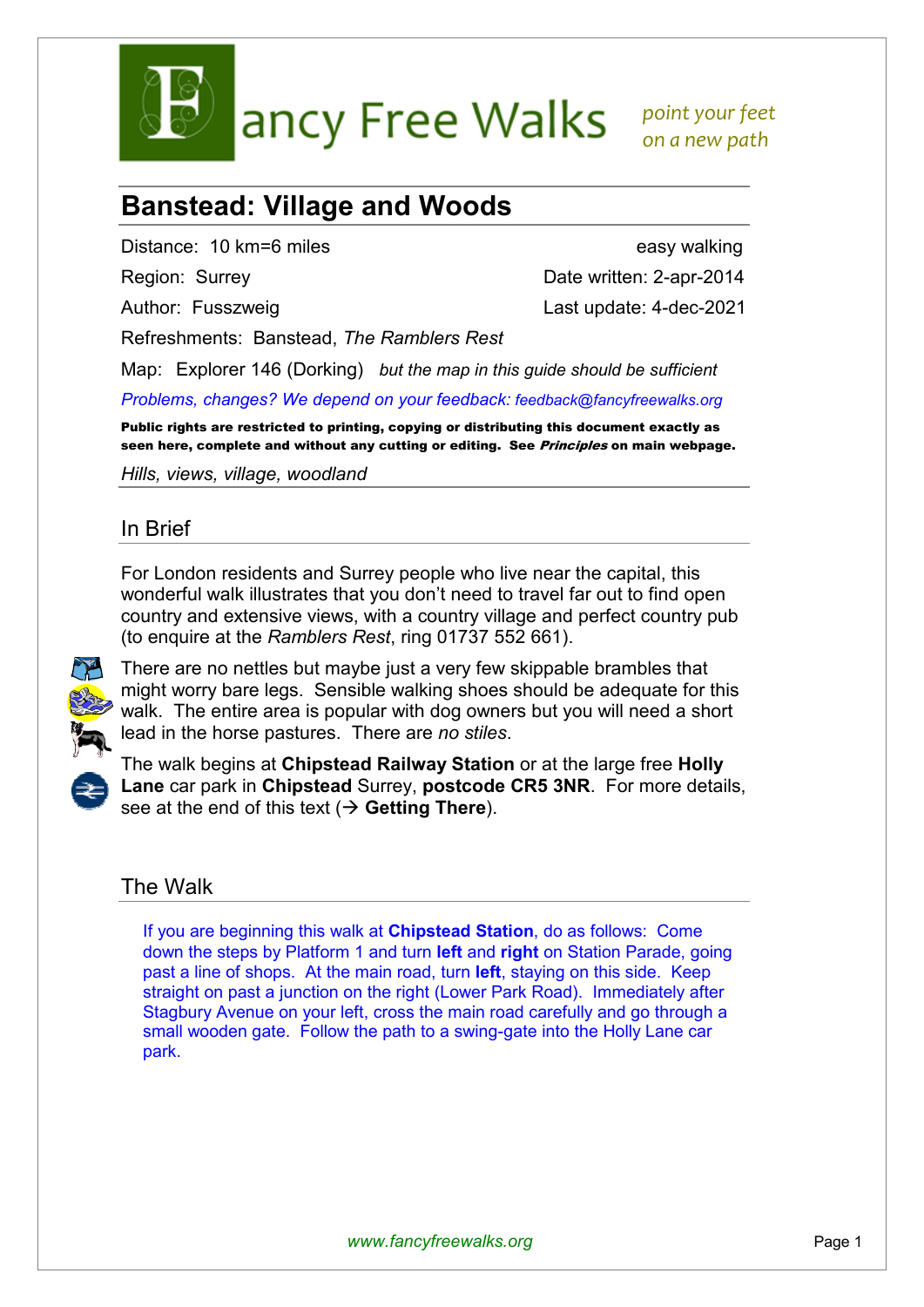

ancy Free Walks point your feet

 *on a new path* 

## **Banstead: Village and Woods**

Distance: 10 km=6 miles easy walking

Region: Surrey **Date written: 2-apr-2014** 

Author: Fusszweig Last update: 4-dec-2021

Refreshments: Banstead, *The Ramblers Rest*

Map: Explorer 146 (Dorking) *but the map in this guide should be sufficient Problems, changes? We depend on your feedback: feedback@fancyfreewalks.org*

Public rights are restricted to printing, copying or distributing this document exactly as seen here, complete and without any cutting or editing. See *Principles* on main webpage.

*Hills, views, village, woodland* 

## In Brief

For London residents and Surrey people who live near the capital, this wonderful walk illustrates that you don't need to travel far out to find open country and extensive views, with a country village and perfect country pub (to enquire at the *Ramblers Rest*, ring 01737 552 661).



There are no nettles but maybe just a very few skippable brambles that might worry bare legs. Sensible walking shoes should be adequate for this walk. The entire area is popular with dog owners but you will need a short lead in the horse pastures. There are *no stiles*.



The walk begins at **Chipstead Railway Station** or at the large free **Holly Lane** car park in **Chipstead** Surrey, **postcode CR5 3NR**. For more details, see at the end of this text  $(\rightarrow$  Getting There).

## The Walk

If you are beginning this walk at **Chipstead Station**, do as follows: Come down the steps by Platform 1 and turn **left** and **right** on Station Parade, going past a line of shops. At the main road, turn **left**, staying on this side. Keep straight on past a junction on the right (Lower Park Road). Immediately after Stagbury Avenue on your left, cross the main road carefully and go through a small wooden gate. Follow the path to a swing-gate into the Holly Lane car park.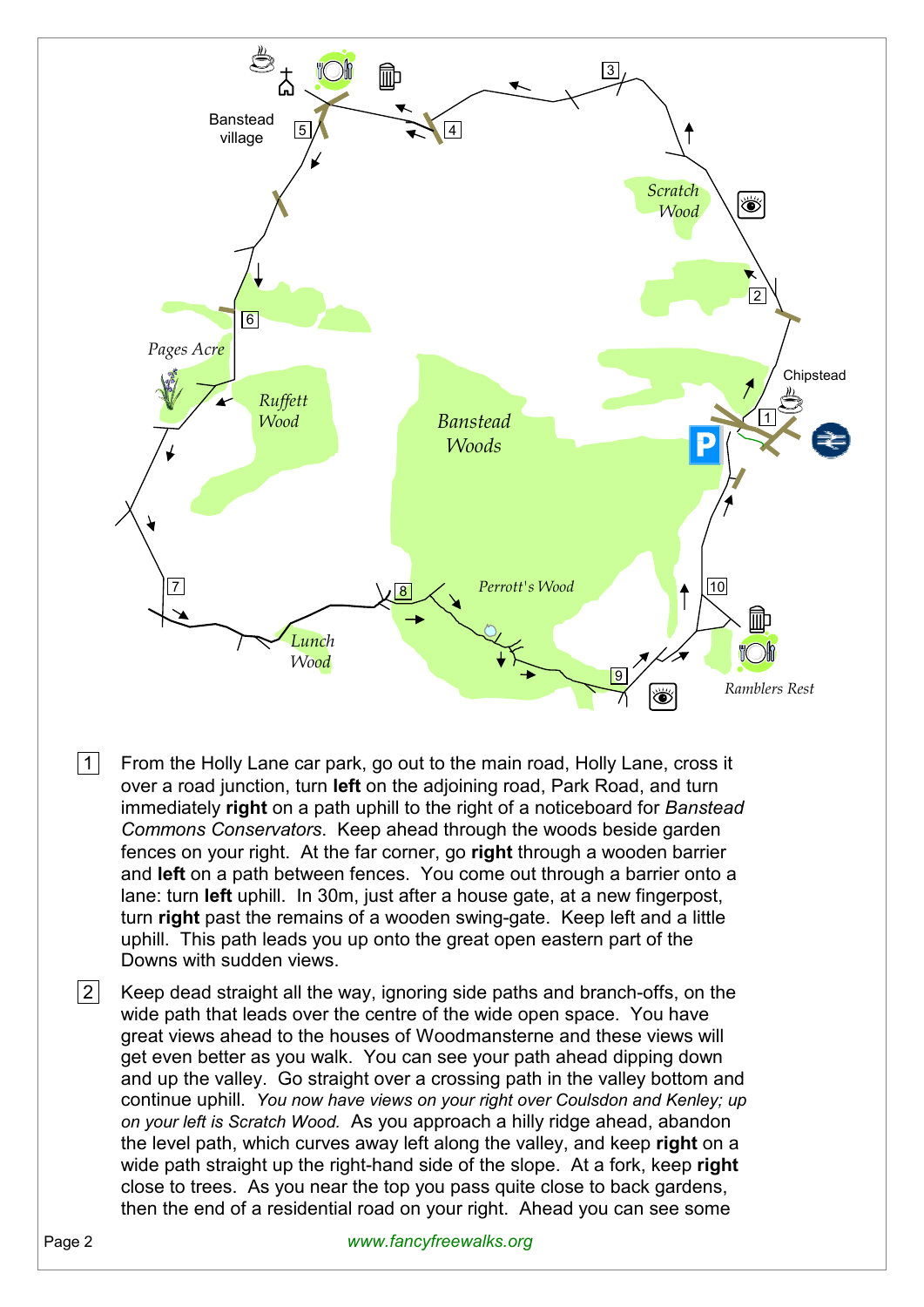

- $|1|$  From the Holly Lane car park, go out to the main road, Holly Lane, cross it over a road junction, turn **left** on the adjoining road, Park Road, and turn immediately **right** on a path uphill to the right of a noticeboard for *Banstead Commons Conservators*. Keep ahead through the woods beside garden fences on your right. At the far corner, go **right** through a wooden barrier and **left** on a path between fences. You come out through a barrier onto a lane: turn **left** uphill. In 30m, just after a house gate, at a new fingerpost, turn **right** past the remains of a wooden swing-gate. Keep left and a little uphill. This path leads you up onto the great open eastern part of the Downs with sudden views.
- $|2|$  Keep dead straight all the way, ignoring side paths and branch-offs, on the wide path that leads over the centre of the wide open space. You have great views ahead to the houses of Woodmansterne and these views will get even better as you walk. You can see your path ahead dipping down and up the valley. Go straight over a crossing path in the valley bottom and continue uphill. *You now have views on your right over Coulsdon and Kenley; up on your left is Scratch Wood.* As you approach a hilly ridge ahead, abandon the level path, which curves away left along the valley, and keep **right** on a wide path straight up the right-hand side of the slope. At a fork, keep **right** close to trees. As you near the top you pass quite close to back gardens, then the end of a residential road on your right. Ahead you can see some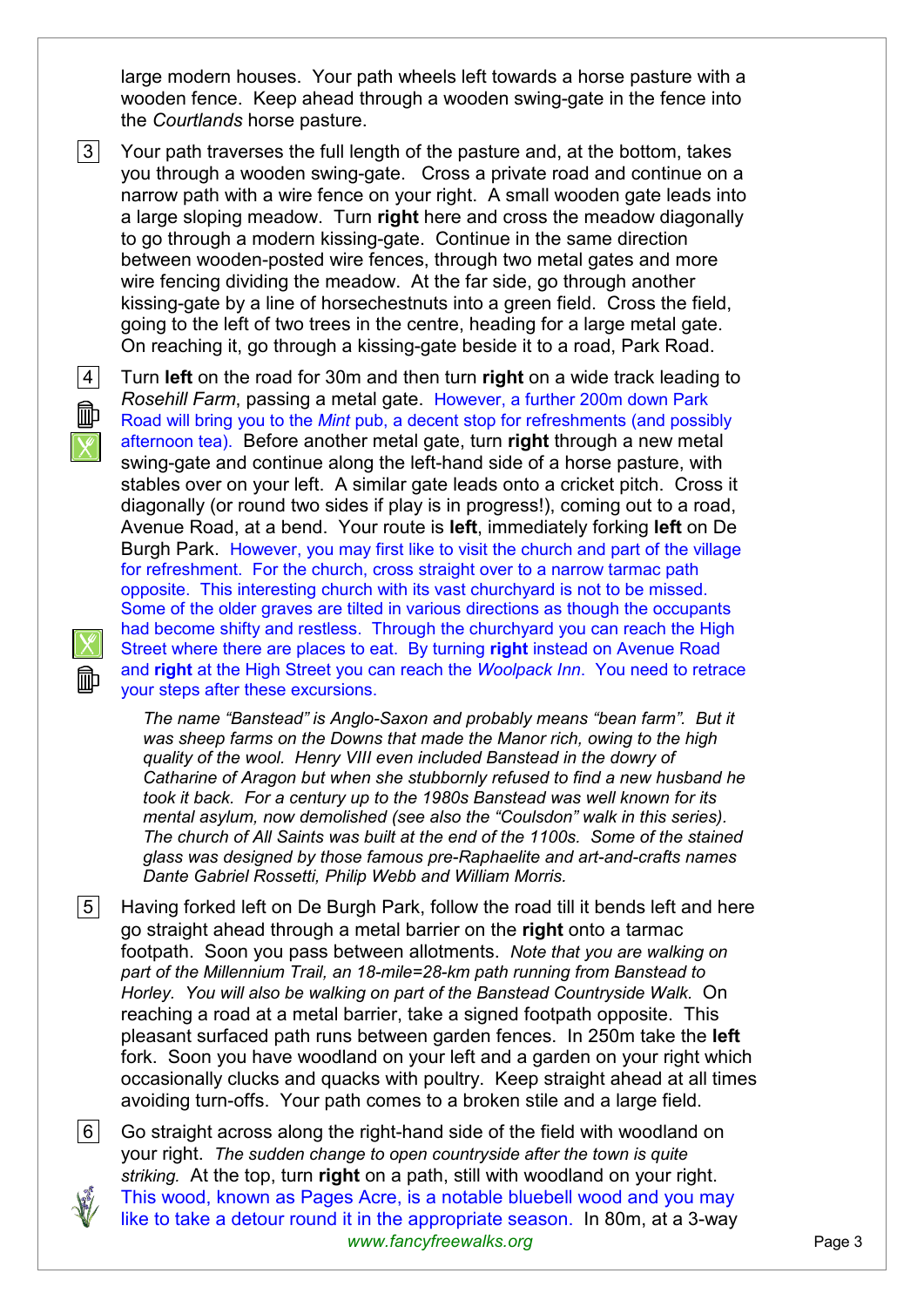large modern houses. Your path wheels left towards a horse pasture with a wooden fence. Keep ahead through a wooden swing-gate in the fence into the *Courtlands* horse pasture.

 $|3|$  Your path traverses the full length of the pasture and, at the bottom, takes you through a wooden swing-gate. Cross a private road and continue on a narrow path with a wire fence on your right. A small wooden gate leads into a large sloping meadow. Turn **right** here and cross the meadow diagonally to go through a modern kissing-gate. Continue in the same direction between wooden-posted wire fences, through two metal gates and more wire fencing dividing the meadow. At the far side, go through another kissing-gate by a line of horsechestnuts into a green field. Cross the field, going to the left of two trees in the centre, heading for a large metal gate. On reaching it, go through a kissing-gate beside it to a road, Park Road.





 4 Turn **left** on the road for 30m and then turn **right** on a wide track leading to *Rosehill Farm*, passing a metal gate. However, a further 200m down Park Road will bring you to the *Mint* pub, a decent stop for refreshments (and possibly afternoon tea). Before another metal gate, turn **right** through a new metal swing-gate and continue along the left-hand side of a horse pasture, with stables over on your left. A similar gate leads onto a cricket pitch. Cross it diagonally (or round two sides if play is in progress!), coming out to a road, Avenue Road, at a bend. Your route is **left**, immediately forking **left** on De Burgh Park. However, you may first like to visit the church and part of the village for refreshment. For the church, cross straight over to a narrow tarmac path opposite. This interesting church with its vast churchyard is not to be missed. Some of the older graves are tilted in various directions as though the occupants had become shifty and restless. Through the churchyard you can reach the High Street where there are places to eat. By turning **right** instead on Avenue Road and **right** at the High Street you can reach the *Woolpack Inn*. You need to retrace your steps after these excursions.

*The name "Banstead" is Anglo-Saxon and probably means "bean farm". But it was sheep farms on the Downs that made the Manor rich, owing to the high quality of the wool. Henry VIII even included Banstead in the dowry of Catharine of Aragon but when she stubbornly refused to find a new husband he took it back. For a century up to the 1980s Banstead was well known for its mental asylum, now demolished (see also the "Coulsdon" walk in this series). The church of All Saints was built at the end of the 1100s. Some of the stained glass was designed by those famous pre-Raphaelite and art-and-crafts names Dante Gabriel Rossetti, Philip Webb and William Morris.* 

 $|5|$  Having forked left on De Burgh Park, follow the road till it bends left and here go straight ahead through a metal barrier on the **right** onto a tarmac footpath. Soon you pass between allotments. *Note that you are walking on part of the Millennium Trail, an 18-mile=28-km path running from Banstead to Horley. You will also be walking on part of the Banstead Countryside Walk.* On reaching a road at a metal barrier, take a signed footpath opposite. This pleasant surfaced path runs between garden fences. In 250m take the **left** fork. Soon you have woodland on your left and a garden on your right which occasionally clucks and quacks with poultry. Keep straight ahead at all times avoiding turn-offs. Your path comes to a broken stile and a large field.

*www.fancyfreewalks.org* Page 3 6 Go straight across along the right-hand side of the field with woodland on your right. *The sudden change to open countryside after the town is quite striking.* At the top, turn **right** on a path, still with woodland on your right. This wood, known as Pages Acre, is a notable bluebell wood and you may like to take a detour round it in the appropriate season. In 80m, at a 3-way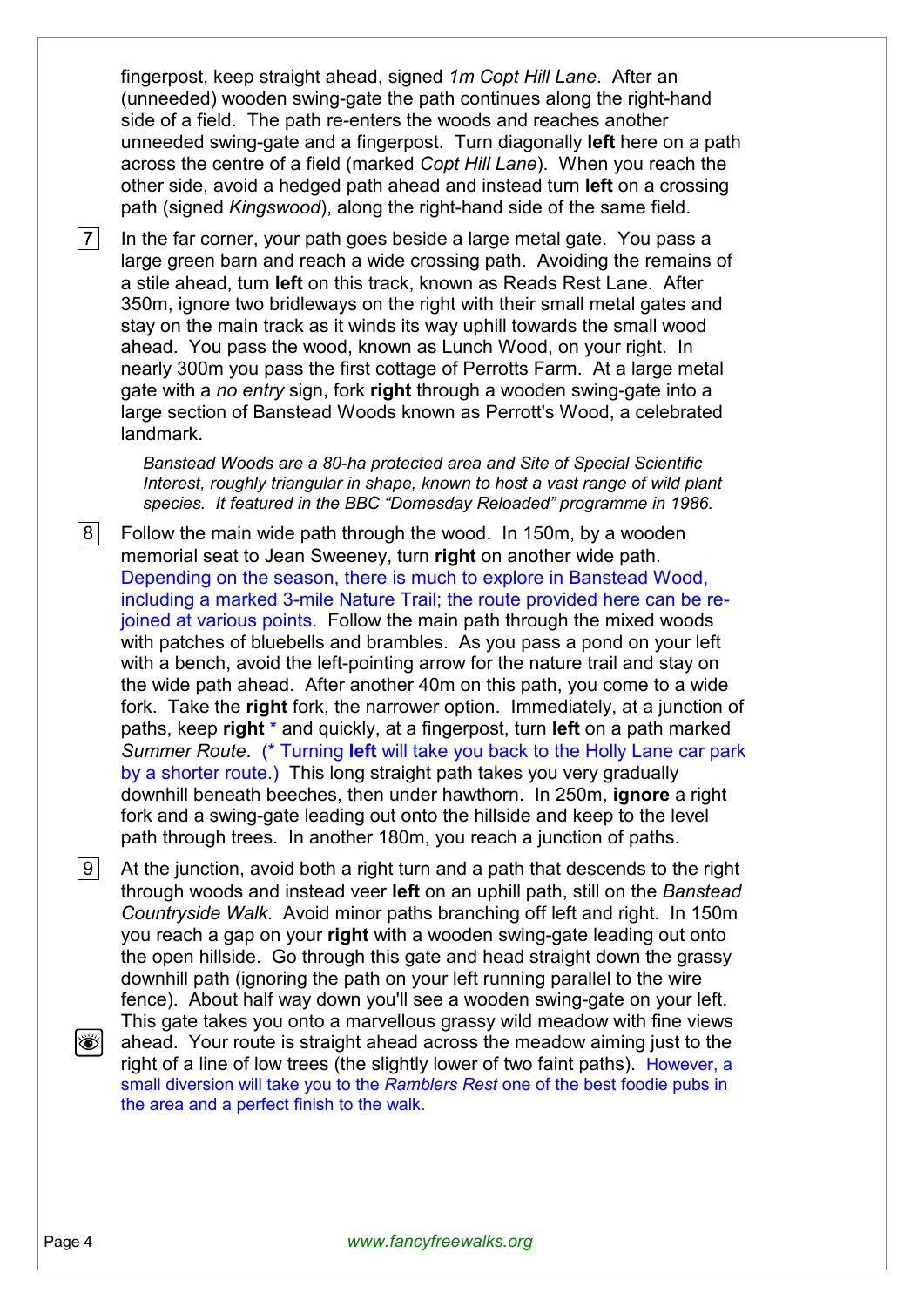fingerpost, keep straight ahead, signed *1m Copt Hill Lane*. After an (unneeded) wooden swing-gate the path continues along the right-hand side of a field. The path re-enters the woods and reaches another unneeded swing-gate and a fingerpost. Turn diagonally **left** here on a path across the centre of a field (marked *Copt Hill Lane*). When you reach the other side, avoid a hedged path ahead and instead turn **left** on a crossing path (signed *Kingswood*), along the right-hand side of the same field.

 $|7|$  In the far corner, your path goes beside a large metal gate. You pass a large green barn and reach a wide crossing path. Avoiding the remains of a stile ahead, turn **left** on this track, known as Reads Rest Lane. After 350m, ignore two bridleways on the right with their small metal gates and stay on the main track as it winds its way uphill towards the small wood ahead. You pass the wood, known as Lunch Wood, on your right. In nearly 300m you pass the first cottage of Perrotts Farm. At a large metal gate with a *no entry* sign, fork **right** through a wooden swing-gate into a large section of Banstead Woods known as Perrott's Wood, a celebrated landmark.

*Banstead Woods are a 80-ha protected area and Site of Special Scientific Interest, roughly triangular in shape, known to host a vast range of wild plant species. It featured in the BBC "Domesday Reloaded" programme in 1986.* 

 $|8|$  Follow the main wide path through the wood. In 150m, by a wooden memorial seat to Jean Sweeney, turn **right** on another wide path. Depending on the season, there is much to explore in Banstead Wood, including a marked 3-mile Nature Trail; the route provided here can be rejoined at various points. Follow the main path through the mixed woods with patches of bluebells and brambles. As you pass a pond on your left with a bench, avoid the left-pointing arrow for the nature trail and stay on the wide path ahead. After another 40m on this path, you come to a wide fork. Take the **right** fork, the narrower option. Immediately, at a junction of paths, keep **right** \* and quickly, at a fingerpost, turn **left** on a path marked *Summer Route*. (\* Turning **left** will take you back to the Holly Lane car park by a shorter route.) This long straight path takes you very gradually downhill beneath beeches, then under hawthorn. In 250m, **ignore** a right fork and a swing-gate leading out onto the hillside and keep to the level path through trees. In another 180m, you reach a junction of paths.

 $|9|$  At the junction, avoid both a right turn and a path that descends to the right through woods and instead veer **left** on an uphill path, still on the *Banstead Countryside Walk*. Avoid minor paths branching off left and right. In 150m you reach a gap on your **right** with a wooden swing-gate leading out onto the open hillside. Go through this gate and head straight down the grassy downhill path (ignoring the path on your left running parallel to the wire fence). About half way down you'll see a wooden swing-gate on your left. This gate takes you onto a marvellous grassy wild meadow with fine views ÖI. ahead. Your route is straight ahead across the meadow aiming just to the right of a line of low trees (the slightly lower of two faint paths). However, a small diversion will take you to the *Ramblers Rest* one of the best foodie pubs in

the area and a perfect finish to the walk.